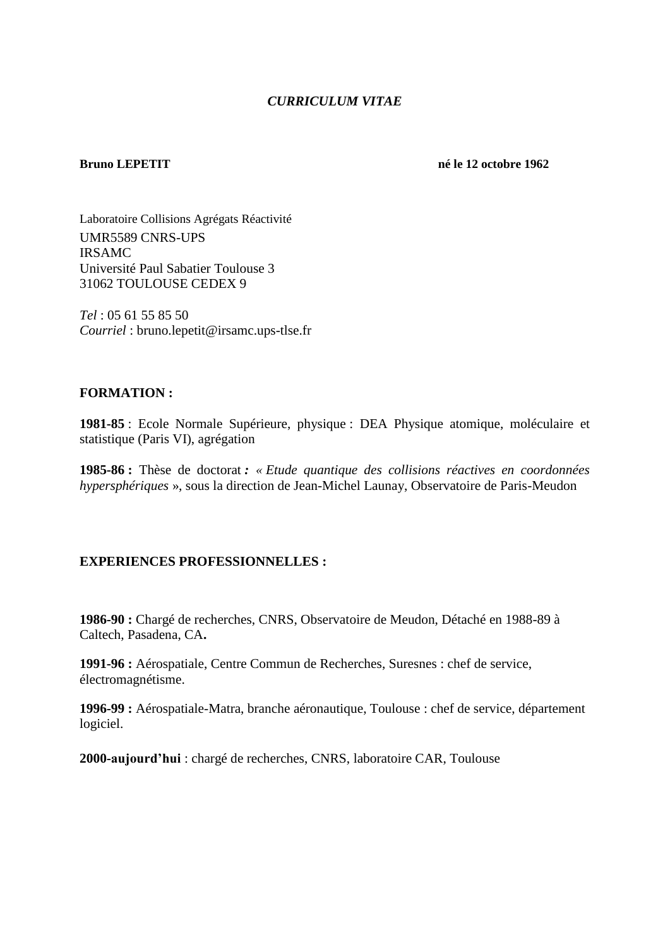# *CURRICULUM VITAE*

**Bruno LEPETIT né le 12 octobre 1962**

Laboratoire Collisions Agrégats Réactivité UMR5589 CNRS-UPS IRSAMC Université Paul Sabatier Toulouse 3 31062 TOULOUSE CEDEX 9

*Tel* : 05 61 55 85 50 *Courriel* : bruno.lepetit@irsamc.ups-tlse.fr

# **FORMATION :**

**1981-85** : Ecole Normale Supérieure, physique : DEA Physique atomique, moléculaire et statistique (Paris VI), agrégation

**1985-86 :** Thèse de doctorat *: « Etude quantique des collisions réactives en coordonnées hypersphériques* », sous la direction de Jean-Michel Launay, Observatoire de Paris-Meudon

# **EXPERIENCES PROFESSIONNELLES :**

**1986-90 :** Chargé de recherches, CNRS, Observatoire de Meudon, Détaché en 1988-89 à Caltech, Pasadena, CA**.** 

**1991-96 :** Aérospatiale, Centre Commun de Recherches, Suresnes : chef de service, électromagnétisme.

**1996-99 :** Aérospatiale-Matra, branche aéronautique, Toulouse : chef de service, département logiciel.

**2000-aujourd'hui** : chargé de recherches, CNRS, laboratoire CAR, Toulouse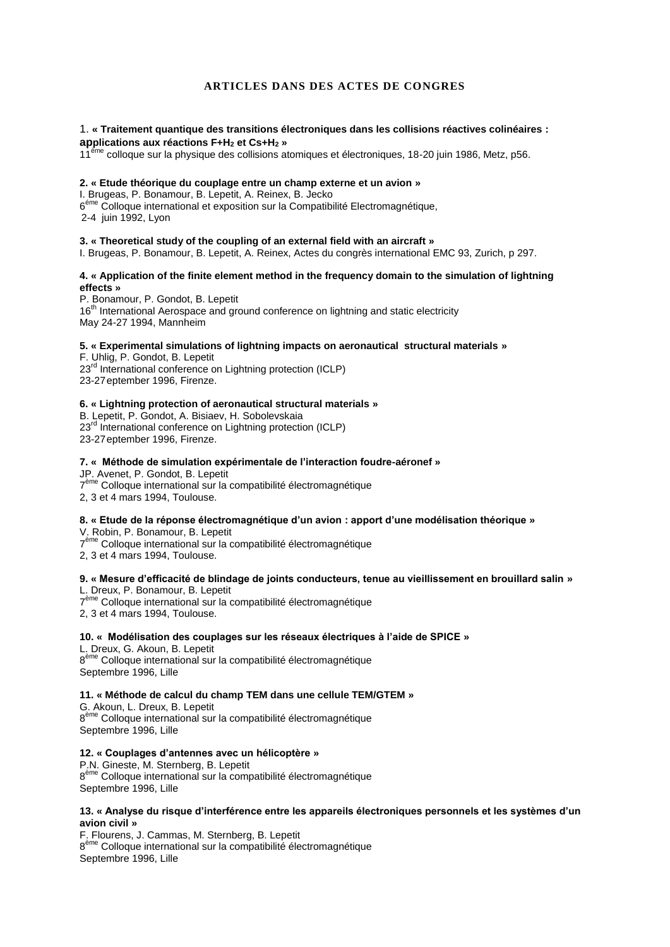# **ARTICLES DANS DES ACTES DE CONGRES**

### 1. **« Traitement quantique des transitions électroniques dans les collisions réactives colinéaires : applications aux réactions F+H<sup>2</sup> et Cs+H<sup>2</sup> »**

11<sup>ème</sup> colloque sur la physique des collisions atomiques et électroniques, 18-20 juin 1986, Metz, p56.

#### **2. « Etude théorique du couplage entre un champ externe et un avion »**

I. Brugeas, P. Bonamour, B. Lepetit, A. Reinex, B. Jecko

6<sup>éme</sup> Colloque international et exposition sur la Compatibilité Electromagnétique,

2-4 juin 1992, Lyon

#### **3. « Theoretical study of the coupling of an external field with an aircraft »**

I. Brugeas, P. Bonamour, B. Lepetit, A. Reinex, Actes du congrès international EMC 93, Zurich, p 297.

## **4. « Application of the finite element method in the frequency domain to the simulation of lightning effects »**

P. Bonamour, P. Gondot, B. Lepetit 16<sup>th</sup> International Aerospace and ground conference on lightning and static electricity May 24-27 1994, Mannheim

## **5. « Experimental simulations of lightning impacts on aeronautical structural materials »**

F. Uhlig, P. Gondot, B. Lepetit 23<sup>rd</sup> International conference on Lightning protection (ICLP) 23-27eptember 1996, Firenze.

#### **6. « Lightning protection of aeronautical structural materials »**

B. Lepetit, P. Gondot, A. Bisiaev, H. Sobolevskaia 23<sup>rd</sup> International conference on Lightning protection (ICLP) 23-27eptember 1996, Firenze.

# **7. « Méthode de simulation expérimentale de l'interaction foudre-aéronef »**

JP. Avenet, P. Gondot, B. Lepetit

7<sup>ème</sup> Colloque international sur la compatibilité électromagnétique

2, 3 et 4 mars 1994, Toulouse.

## **8. « Etude de la réponse électromagnétique d'un avion : apport d'une modélisation théorique »**

V. Robin, P. Bonamour, B. Lepetit

7<sup>ème</sup> Colloque international sur la compatibilité électromagnétique

2, 3 et 4 mars 1994, Toulouse.

# **9. « Mesure d'efficacité de blindage de joints conducteurs, tenue au vieillissement en brouillard salin »**

L. Dreux, P. Bonamour, B. Lepetit

7<sup>ème</sup> Colloque international sur la compatibilité électromagnétique

2, 3 et 4 mars 1994, Toulouse.

## **10. « Modélisation des couplages sur les réseaux électriques à l'aide de SPICE »**

L. Dreux, G. Akoun, B. Lepetit 8<sup>ème</sup> Colloque international sur la compatibilité électromagnétique Septembre 1996, Lille

## **11. « Méthode de calcul du champ TEM dans une cellule TEM/GTEM »**

G. Akoun, L. Dreux, B. Lepetit 8<sup>ème</sup> Colloque international sur la compatibilité électromagnétique Septembre 1996, Lille

## **12. « Couplages d'antennes avec un hélicoptère »**

P.N. Gineste, M. Sternberg, B. Lepetit 8<sup>ème</sup> Colloque international sur la compatibilité électromagnétique Septembre 1996, Lille

#### **13. « Analyse du risque d'interférence entre les appareils électroniques personnels et les systèmes d'un avion civil »**

F. Flourens, J. Cammas, M. Sternberg, B. Lepetit 8<sup>ème</sup> Colloque international sur la compatibilité électromagnétique Septembre 1996, Lille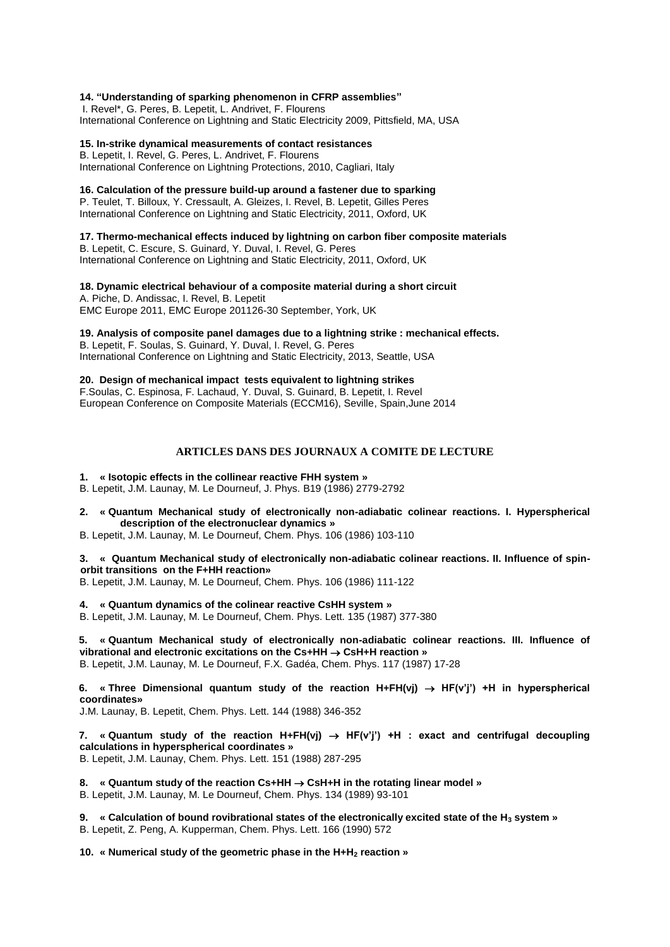#### **14. "Understanding of sparking phenomenon in CFRP assemblies"**

I. Revel\*, G. Peres, B. Lepetit, L. Andrivet, F. Flourens International Conference on Lightning and Static Electricity 2009, Pittsfield, MA, USA

# **15. In-strike dynamical measurements of contact resistances**

B. Lepetit, I. Revel, G. Peres, L. Andrivet, F. Flourens International Conference on Lightning Protections, 2010, Cagliari, Italy

# **16. Calculation of the pressure build-up around a fastener due to sparking**

P. Teulet, T. Billoux, Y. Cressault, A. Gleizes, I. Revel, B. Lepetit, Gilles Peres International Conference on Lightning and Static Electricity, 2011, Oxford, UK

## **17. Thermo-mechanical effects induced by lightning on carbon fiber composite materials**

B. Lepetit, C. Escure, S. Guinard, Y. Duval, I. Revel, G. Peres International Conference on Lightning and Static Electricity, 2011, Oxford, UK

**18. Dynamic electrical behaviour of a composite material during a short circuit** A. Piche, D. Andissac, I. Revel, B. Lepetit

EMC Europe 2011, EMC Europe 201126-30 September, York, UK

**19. Analysis of composite panel damages due to a lightning strike : mechanical effects.** 

B. Lepetit, F. Soulas, S. Guinard, Y. Duval, I. Revel, G. Peres International Conference on Lightning and Static Electricity, 2013, Seattle, USA

**20. Design of mechanical impact tests equivalent to lightning strikes**  F.Soulas, C. Espinosa, F. Lachaud, Y. Duval, S. Guinard, B. Lepetit, I. Revel European Conference on Composite Materials (ECCM16), Seville, Spain,June 2014

# **ARTICLES DANS DES JOURNAUX A COMITE DE LECTURE**

# **1. « Isotopic effects in the collinear reactive FHH system »**

B. Lepetit, J.M. Launay, M. Le Dourneuf, J. Phys. B19 (1986) 2779-2792

**2. « Quantum Mechanical study of electronically non-adiabatic colinear reactions. I. Hyperspherical description of the electronuclear dynamics »**

B. Lepetit, J.M. Launay, M. Le Dourneuf, Chem. Phys. 106 (1986) 103-110

**3. « Quantum Mechanical study of electronically non-adiabatic colinear reactions. II. Influence of spinorbit transitions on the F+HH reaction»**

B. Lepetit, J.M. Launay, M. Le Dourneuf, Chem. Phys. 106 (1986) 111-122

**4. « Quantum dynamics of the colinear reactive CsHH system »**

B. Lepetit, J.M. Launay, M. Le Dourneuf, Chem. Phys. Lett. 135 (1987) 377-380

**5. « Quantum Mechanical study of electronically non-adiabatic colinear reactions. III. Influence of vibrational and electronic excitations on the Cs+HH CsH+H reaction »**

B. Lepetit, J.M. Launay, M. Le Dourneuf, F.X. Gadéa, Chem. Phys. 117 (1987) 17-28

6. « Three Dimensional quantum study of the reaction  $H + FH(vj) \rightarrow HF(vj')$  +H in hyperspherical **coordinates»**

J.M. Launay, B. Lepetit, Chem. Phys. Lett. 144 (1988) 346-352

7. **« Quantum study of the reaction H+FH(vi)**  $\rightarrow$  **HF(v<sup>'</sup>i') +H : exact and centrifugal decoupling calculations in hyperspherical coordinates »** B. Lepetit, J.M. Launay, Chem. Phys. Lett. 151 (1988) 287-295

**8. « Quantum study of the reaction Cs+HH CsH+H in the rotating linear model »**

B. Lepetit, J.M. Launay, M. Le Dourneuf, Chem. Phys. 134 (1989) 93-101

**9. « Calculation of bound rovibrational states of the electronically excited state of the H<sup>3</sup> system »** B. Lepetit, Z. Peng, A. Kupperman, Chem. Phys. Lett. 166 (1990) 572

**10. « Numerical study of the geometric phase in the H+H<sup>2</sup> reaction »**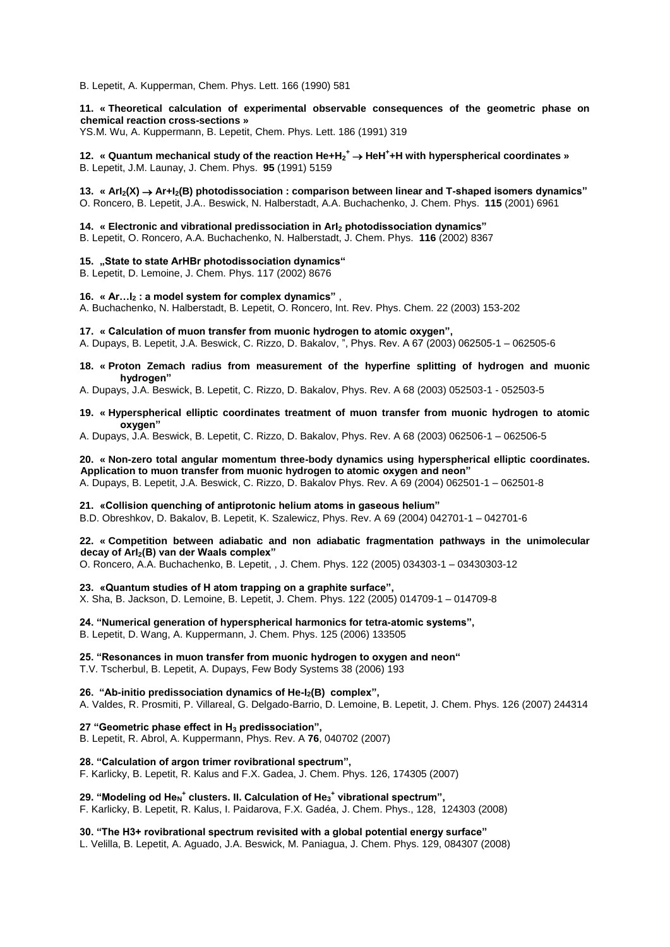B. Lepetit, A. Kupperman, Chem. Phys. Lett. 166 (1990) 581

# **11. « Theoretical calculation of experimental observable consequences of the geometric phase on chemical reaction cross-sections »**

YS.M. Wu, A. Kuppermann, B. Lepetit, Chem. Phys. Lett. 186 (1991) 319

**12. « Quantum mechanical study of the reaction He+H<sup>2</sup> <sup>+</sup> HeH<sup>+</sup> +H with hyperspherical coordinates »** B. Lepetit, J.M. Launay, J. Chem. Phys. **95** (1991) 5159

#### **13. « ArI2(X) Ar+I2(B) photodissociation : comparison between linear and T-shaped isomers dynamics"**  O. Roncero, B. Lepetit, J.A.. Beswick, N. Halberstadt, A.A. Buchachenko, J. Chem. Phys. **115** (2001) 6961

# **14. « Electronic and vibrational predissociation in ArI<sup>2</sup> photodissociation dynamics"**

B. Lepetit, O. Roncero, A.A. Buchachenko, N. Halberstadt, J. Chem. Phys. **116** (2002) 8367

#### **15. "State to state ArHBr photodissociation dynamics"**

B. Lepetit, D. Lemoine, J. Chem. Phys. 117 (2002) 8676

# **16. « Ar…I<sup>2</sup> : a model system for complex dynamics"** ,

A. Buchachenko, N. Halberstadt, B. Lepetit, O. Roncero, Int. Rev. Phys. Chem. 22 (2003) 153-202

#### **17. « Calculation of muon transfer from muonic hydrogen to atomic oxygen",**

A. Dupays, B. Lepetit, J.A. Beswick, C. Rizzo, D. Bakalov, ", Phys. Rev. A 67 (2003) 062505-1 – 062505-6

#### **18. « Proton Zemach radius from measurement of the hyperfine splitting of hydrogen and muonic hydrogen"**

A. Dupays, J.A. Beswick, B. Lepetit, C. Rizzo, D. Bakalov, Phys. Rev. A 68 (2003) 052503-1 - 052503-5

#### **19. « Hyperspherical elliptic coordinates treatment of muon transfer from muonic hydrogen to atomic oxygen"**

A. Dupays, J.A. Beswick, B. Lepetit, C. Rizzo, D. Bakalov, Phys. Rev. A 68 (2003) 062506-1 – 062506-5

# **20. « Non-zero total angular momentum three-body dynamics using hyperspherical elliptic coordinates. Application to muon transfer from muonic hydrogen to atomic oxygen and neon"**

A. Dupays, B. Lepetit, J.A. Beswick, C. Rizzo, D. Bakalov Phys. Rev. A 69 (2004) 062501-1 – 062501-8

#### **21. «Collision quenching of antiprotonic helium atoms in gaseous helium"**

B.D. Obreshkov, D. Bakalov, B. Lepetit, K. Szalewicz, Phys. Rev. A 69 (2004) 042701-1 – 042701-6

#### **22. « Competition between adiabatic and non adiabatic fragmentation pathways in the unimolecular decay of ArI2(B) van der Waals complex"**

O. Roncero, A.A. Buchachenko, B. Lepetit, , J. Chem. Phys. 122 (2005) 034303-1 – 03430303-12

## **23. «Quantum studies of H atom trapping on a graphite surface",**

X. Sha, B. Jackson, D. Lemoine, B. Lepetit, J. Chem. Phys. 122 (2005) 014709-1 – 014709-8

# **24. "Numerical generation of hyperspherical harmonics for tetra-atomic systems",**

B. Lepetit, D. Wang, A. Kuppermann, J. Chem. Phys. 125 (2006) 133505

# **25. "Resonances in muon transfer from muonic hydrogen to oxygen and neon"**

T.V. Tscherbul, B. Lepetit, A. Dupays, Few Body Systems 38 (2006) 193

# **26. "Ab-initio predissociation dynamics of He-I2(B) complex",**

A. Valdes, R. Prosmiti, P. Villareal, G. Delgado-Barrio, D. Lemoine, B. Lepetit, J. Chem. Phys. 126 (2007) 244314

**27 "Geometric phase effect in H<sup>3</sup> predissociation",**

B. Lepetit, R. Abrol, A. Kuppermann, Phys. Rev. A **76**, 040702 (2007)

## **28. "Calculation of argon trimer rovibrational spectrum",**

F. Karlicky, B. Lepetit, R. Kalus and F.X. Gadea, J. Chem. Phys. 126, 174305 (2007)

# **29. "Modeling od He<sup>N</sup> + clusters. II. Calculation of He<sup>3</sup> + vibrational spectrum",**

F. Karlicky, B. Lepetit, R. Kalus, I. Paidarova, F.X. Gadéa, J. Chem. Phys., 128, 124303 (2008)

**30. "The H3+ rovibrational spectrum revisited with a global potential energy surface"**

L. Velilla, B. Lepetit, A. Aguado, J.A. Beswick, M. Paniagua, J. Chem. Phys. 129, 084307 (2008)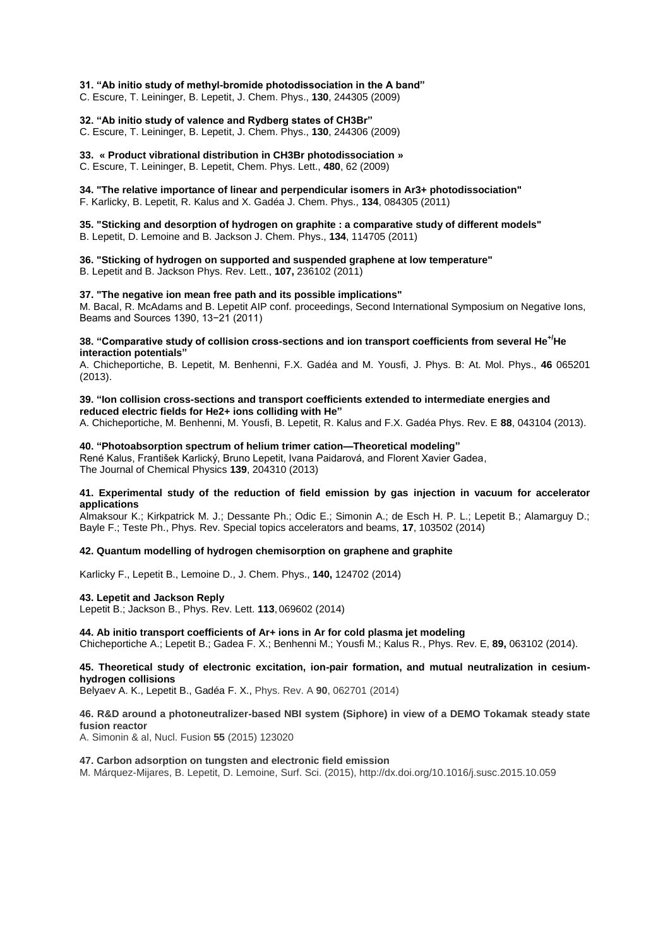## **31. "Ab initio study of methyl-bromide photodissociation in the A band"**

C. Escure, T. Leininger, B. Lepetit, J. Chem. Phys., **130**, 244305 (2009)

# **32. "Ab initio study of valence and Rydberg states of CH3Br"**

C. Escure, T. Leininger, B. Lepetit, J. Chem. Phys., **130**, 244306 (2009)

# **33. « Product vibrational distribution in CH3Br photodissociation »**

C. Escure, T. Leininger, B. Lepetit, Chem. Phys. Lett., **480**, 62 (2009)

#### **34. "The relative importance of linear and perpendicular isomers in Ar3+ photodissociation"**

F. Karlicky, B. Lepetit, R. Kalus and X. Gadéa J. Chem. Phys., **134**, 084305 (2011)

#### **35. "Sticking and desorption of hydrogen on graphite : a comparative study of different models"**  B. Lepetit, D. Lemoine and B. Jackson J. Chem. Phys., **134**, 114705 (2011)

#### **36. "Sticking of hydrogen on supported and suspended graphene at low temperature"**  B. Lepetit and B. Jackson Phys. Rev. Lett., **107,** [236102 \(2011\)](http://link.aps.org/doi/10.1103/PhysRevLett.107.236102)

# **37. "The negative ion mean free path and its possible implications"**

M. Bacal, R. McAdams and B. Lepetit AIP conf. proceedings, Second International Symposium on Negative Ions, Beams and Sources 1390, 13−21 (2011)

# **38. "Comparative study of collision cross-sections and ion transport coefficients from several He+/He interaction potentials"**

A. Chicheportiche, B. Lepetit, M. Benhenni, F.X. Gadéa and M. Yousfi, J. Phys. B: At. Mol. Phys., **46** 065201 (2013).

# **39. "Ion collision cross-sections and transport coefficients extended to intermediate energies and reduced electric fields for He2+ ions colliding with He"**

A. Chicheportiche, M. Benhenni, M. Yousfi, B. Lepetit, R. Kalus and F.X. Gadéa Phys. Rev. E **88**, 043104 (2013).

#### **40. "Photoabsorption spectrum of helium trimer cation—Theoretical modeling"**

René Kalus, František Karlický, Bruno Lepetit, Ivana Paidarová, and Florent Xavier Gadea, The Journal of Chemical Physics **139**, 204310 (2013)

#### **41. Experimental study of the reduction of field emission by gas injection in vacuum for accelerator applications**

Almaksour K.; Kirkpatrick M. J.; Dessante Ph.; Odic E.; Simonin A.; de Esch H. P. L.; Lepetit B.; Alamarguy D.; Bayle F.; Teste Ph., Phys. Rev. Special topics accelerators and beams, **17**, 103502 (2014)

# **42. Quantum modelling of hydrogen chemisorption on graphene and graphite**

Karlicky F., Lepetit B., Lemoine D., J. Chem. Phys., **140,** 124702 (2014)

#### **43. Lepetit and Jackson Reply**

Lepetit B.; Jackson B., Phys. Rev. Lett. **113**,069602 (2014)

## **44. Ab initio transport coefficients of Ar+ ions in Ar for cold plasma jet modeling**

Chicheportiche A.; Lepetit B.; Gadea F. X.; Benhenni M.; Yousfi M.; Kalus R., Phys. Rev. E, **89,** 063102 (2014).

# **45. Theoretical study of electronic excitation, ion-pair formation, and mutual neutralization in cesiumhydrogen collisions**

Belyaev A. K., Lepetit B., Gadéa F. X., Phys. Rev. A **90**, 062701 (2014)

## **46. R&D around a photoneutralizer-based NBI system (Siphore) in view of a DEMO Tokamak steady state fusion reactor**

A. Simonin & al, Nucl. Fusion **55** (2015) 123020

#### **47. Carbon adsorption on tungsten and electronic field emission**

M. Márquez-Mijares, B. Lepetit, D. Lemoine, Surf. Sci. (2015), http://dx.doi.org/10.1016/j.susc.2015.10.059